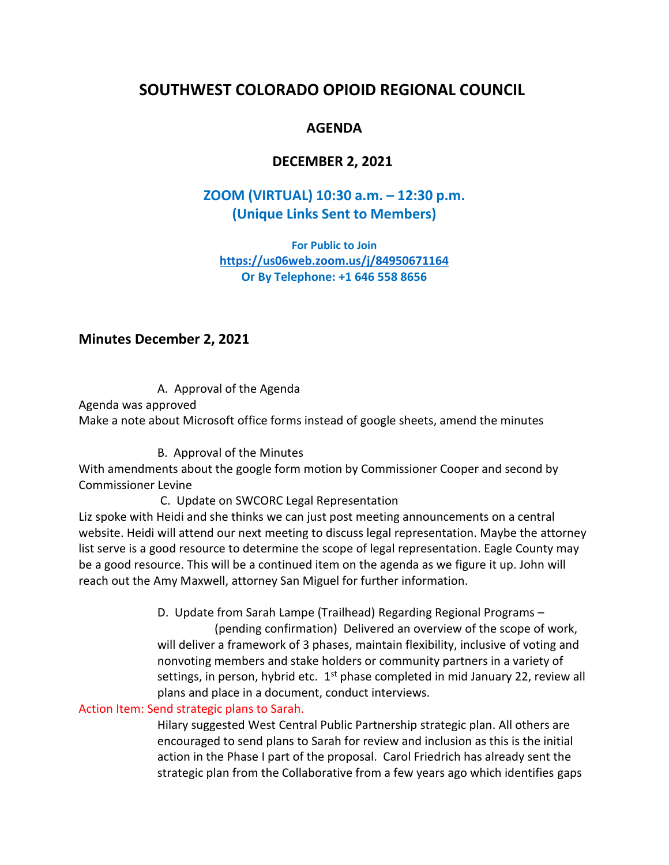# **SOUTHWEST COLORADO OPIOID REGIONAL COUNCIL**

# **AGENDA**

## **DECEMBER 2, 2021**

# **[ZOOM \(VIRTUAL\) 10:30](https://us06web.zoom.us/w/84950671164?tk=JpETteAZ83FmxmyuRazlbhIFnJgeQOWsM5DcbGLPo_U.DQMAAAATx3RfPBY0aHo0MGRXMlFPZTlnT3FzTEdFNEx3AAAAAAAAAAAAAAAAAAAAAAAAAAAAAA) a.m. – 12:30 p.m. (Unique Links Sent to Members)**

**For Public to Join <https://us06web.zoom.us/j/84950671164> Or By Telephone: +1 646 558 8656**

### **Minutes December 2, 2021**

A. Approval of the Agenda Agenda was approved Make a note about Microsoft office forms instead of google sheets, amend the minutes

B. Approval of the [Minutes](https://gcco-my.sharepoint.com/:b:/g/personal/eksmith_gunnisoncounty_org/EcjQD9fBwadHum9b1lmOmmkBKIQQMNz2wEYtn86bK8GNaQ?e=Zq4Ryd)

With amendments about the google form motion by Commissioner Cooper and second by Commissioner Levine

C. Update on SWCORC Legal Representation

Liz spoke with Heidi and she thinks we can just post meeting announcements on a central website. Heidi will attend our next meeting to discuss legal representation. Maybe the attorney list serve is a good resource to determine the scope of legal representation. Eagle County may be a good resource. This will be a continued item on the agenda as we figure it up. John will reach out the Amy Maxwell, attorney San Miguel for further information.

> D. Update from Sarah Lampe (Trailhead) Regarding Regional Programs – (pending confirmation) Delivered an overview of the scope of work, will deliver a framework of 3 phases, maintain flexibility, inclusive of voting and nonvoting members and stake holders or community partners in a variety of settings, in person, hybrid etc.  $1<sup>st</sup>$  phase completed in mid January 22, review all plans and place in a document, conduct interviews.

#### Action Item: Send strategic plans to Sarah.

Hilary suggested West Central Public Partnership strategic plan. All others are encouraged to send plans to Sarah for review and inclusion as this is the initial action in the Phase I part of the proposal. Carol Friedrich has already sent the strategic plan from the Collaborative from a few years ago which identifies gaps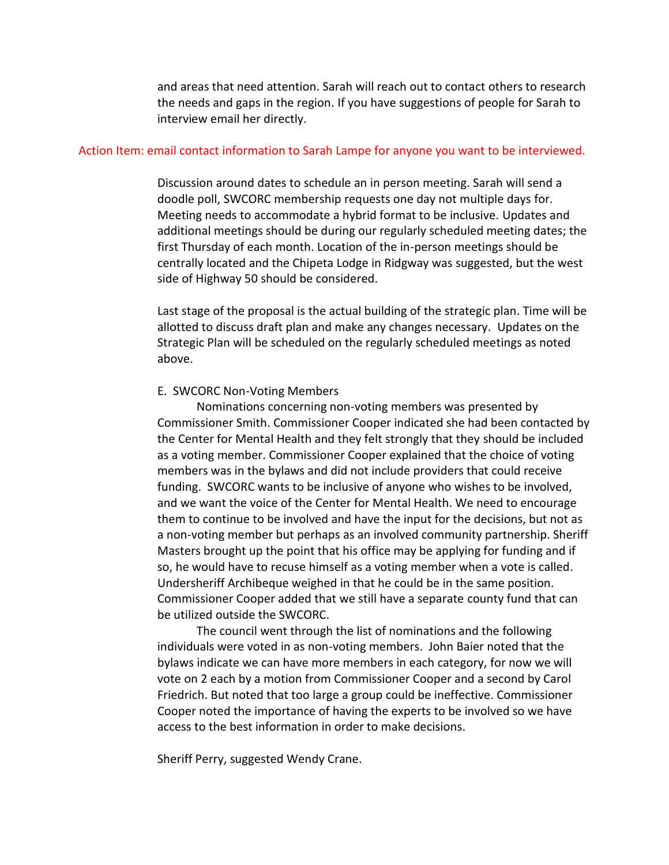and areas that need attention. Sarah will reach out to contact others to research the needs and gaps in the region. If you have suggestions of people for Sarah to interview email her directly.

#### Action Item: email contact information to Sarah Lampe for anyone you want to be interviewed.

Discussion around dates to schedule an in person meeting. Sarah will send a doodle poll, SWCORC membership requests one day not multiple days for. Meeting needs to accommodate a hybrid format to be inclusive. Updates and additional meetings should be during our regularly scheduled meeting dates; the first Thursday of each month. Location of the in-person meetings should be centrally located and the Chipeta Lodge in Ridgway was suggested, but the west side of Highway 50 should be considered.

Last stage of the proposal is the actual building of the strategic plan. Time will be allotted to discuss draft plan and make any changes necessary. Updates on the Strategic Plan will be scheduled on the regularly scheduled meetings as noted above.

#### E. SWCORC Non-Voting Members

Nominations concerning non-voting members was presented by Commissioner Smith. Commissioner Cooper indicated she had been contacted by the Center for Mental Health and they felt strongly that they should be included as a voting member. Commissioner Cooper explained that the choice of voting members was in the bylaws and did not include providers that could receive funding. SWCORC wants to be inclusive of anyone who wishes to be involved, and we want the voice of the Center for Mental Health. We need to encourage them to continue to be involved and have the input for the decisions, but not as a non-voting member but perhaps as an involved community partnership. Sheriff Masters brought up the point that his office may be applying for funding and if so, he would have to recuse himself as a voting member when a vote is called. Undersheriff Archibeque weighed in that he could be in the same position. Commissioner Cooper added that we still have a separate county fund that can be utilized outside the SWCORC.

The council went through the list of nominations and the following individuals were voted in as non-voting members. John Baier noted that the bylaws indicate we can have more members in each category, for now we will vote on 2 each by a motion from Commissioner Cooper and a second by Carol Friedrich. But noted that too large a group could be ineffective. Commissioner Cooper noted the importance of having the experts to be involved so we have access to the best information in order to make decisions.

Sheriff Perry, suggested Wendy Crane.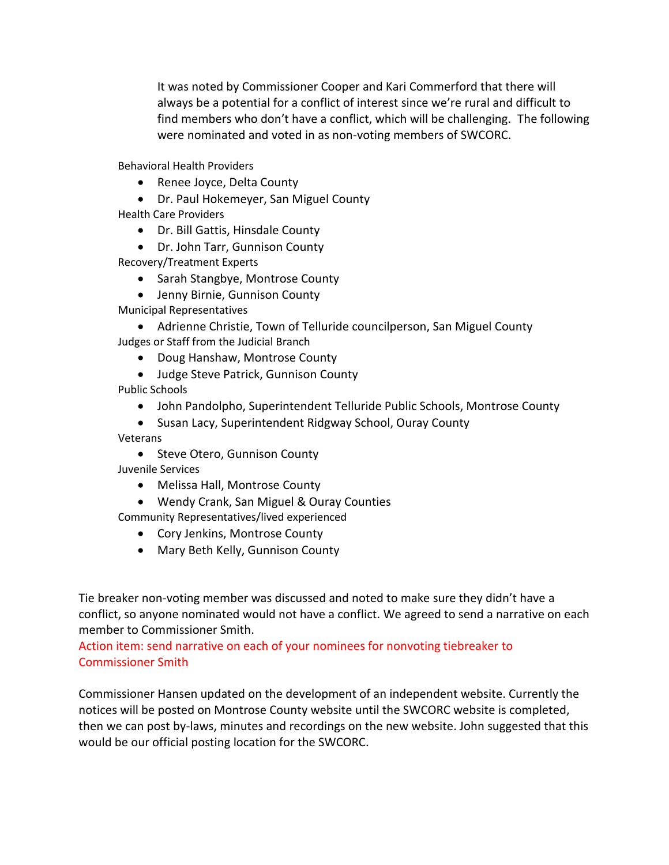It was noted by Commissioner Cooper and Kari Commerford that there will always be a potential for a conflict of interest since we're rural and difficult to find members who don't have a conflict, which will be challenging. The following were nominated and voted in as non-voting members of SWCORC.

Behavioral Health Providers

- Renee Joyce, Delta County
- Dr. Paul Hokemeyer, San Miguel County

Health Care Providers

- Dr. Bill Gattis, Hinsdale County
- Dr. John Tarr, Gunnison County

Recovery/Treatment Experts

- Sarah Stangbye, Montrose County
- Jenny Birnie, Gunnison County

Municipal Representatives

 Adrienne Christie, Town of Telluride councilperson, San Miguel County Judges or Staff from the Judicial Branch

- Doug Hanshaw, Montrose County
- Judge Steve Patrick, Gunnison County

Public Schools

- John Pandolpho, Superintendent Telluride Public Schools, Montrose County
- Susan Lacy, Superintendent Ridgway School, Ouray County

Veterans

• Steve Otero, Gunnison County

Juvenile Services

- Melissa Hall, Montrose County
- Wendy Crank, San Miguel & Ouray Counties

Community Representatives/lived experienced

- Cory Jenkins, Montrose County
- Mary Beth Kelly, Gunnison County

Tie breaker non-voting member was discussed and noted to make sure they didn't have a conflict, so anyone nominated would not have a conflict. We agreed to send a narrative on each member to Commissioner Smith.

Action item: send narrative on each of your nominees for nonvoting tiebreaker to Commissioner Smith

Commissioner Hansen updated on the development of an independent website. Currently the notices will be posted on Montrose County website until the SWCORC website is completed, then we can post by-laws, minutes and recordings on the new website. John suggested that this would be our official posting location for the SWCORC.